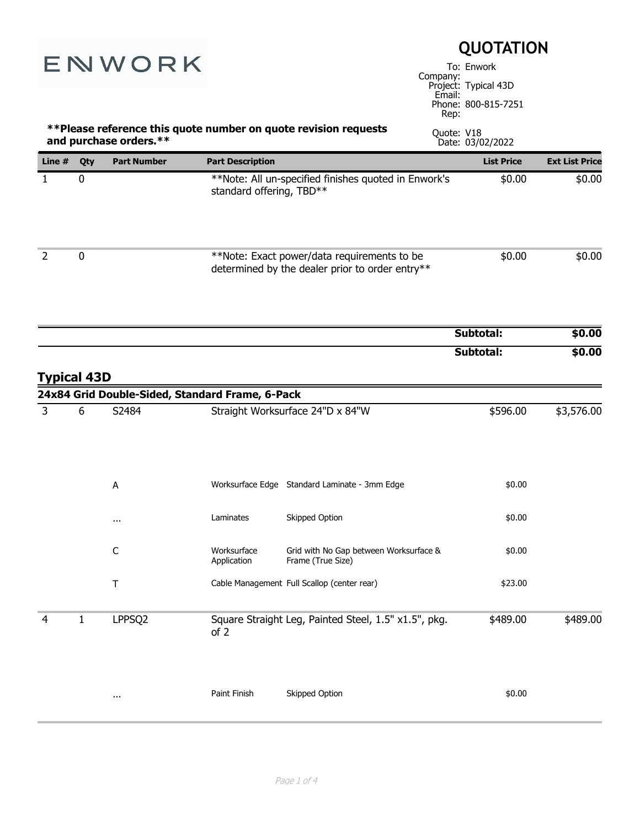|                    |              | ENWORK                                          |                            |                                                                                                | Company:<br>Email:<br>Rep: | <b>QUOTATION</b><br>To: Enwork<br>Project: Typical 43D<br>Phone: 800-815-7251 |                       |
|--------------------|--------------|-------------------------------------------------|----------------------------|------------------------------------------------------------------------------------------------|----------------------------|-------------------------------------------------------------------------------|-----------------------|
|                    |              | and purchase orders.**                          |                            | **Please reference this quote number on quote revision requests                                | Quote: V18                 | Date: 03/02/2022                                                              |                       |
| Line $#$           | Qty          | <b>Part Number</b>                              | <b>Part Description</b>    |                                                                                                |                            | <b>List Price</b>                                                             | <b>Ext List Price</b> |
| $\mathbf{1}$       | 0            |                                                 | standard offering, TBD**   | **Note: All un-specified finishes quoted in Enwork's                                           |                            | \$0.00                                                                        | \$0.00                |
| $\overline{2}$     | 0            |                                                 |                            | **Note: Exact power/data requirements to be<br>determined by the dealer prior to order entry** |                            | \$0.00                                                                        | \$0.00                |
|                    |              |                                                 |                            |                                                                                                |                            | Subtotal:                                                                     | \$0.00                |
| <b>Typical 43D</b> |              | 24x84 Grid Double-Sided, Standard Frame, 6-Pack |                            |                                                                                                |                            | Subtotal:                                                                     | \$0.00                |
| 3                  | 6            | S2484                                           |                            | Straight Worksurface 24"D x 84"W                                                               |                            | \$596.00                                                                      | \$3,576.00            |
|                    |              | A                                               |                            | Worksurface Edge Standard Laminate - 3mm Edge                                                  |                            | \$0.00                                                                        |                       |
|                    |              | $\cdots$                                        | Laminates                  | Skipped Option                                                                                 |                            | \$0.00                                                                        |                       |
|                    |              | $\mathsf C$                                     | Worksurface<br>Application | Grid with No Gap between Worksurface &<br>Frame (True Size)                                    |                            | \$0.00                                                                        |                       |
|                    |              | $\top$                                          |                            | Cable Management Full Scallop (center rear)                                                    |                            | \$23.00                                                                       |                       |
| 4                  | $\mathbf{1}$ | LPPSQ2                                          | of 2                       | Square Straight Leg, Painted Steel, 1.5" x1.5", pkg.                                           |                            | \$489.00                                                                      | \$489.00              |
|                    |              | $\cdots$                                        | Paint Finish               | Skipped Option                                                                                 |                            | \$0.00                                                                        |                       |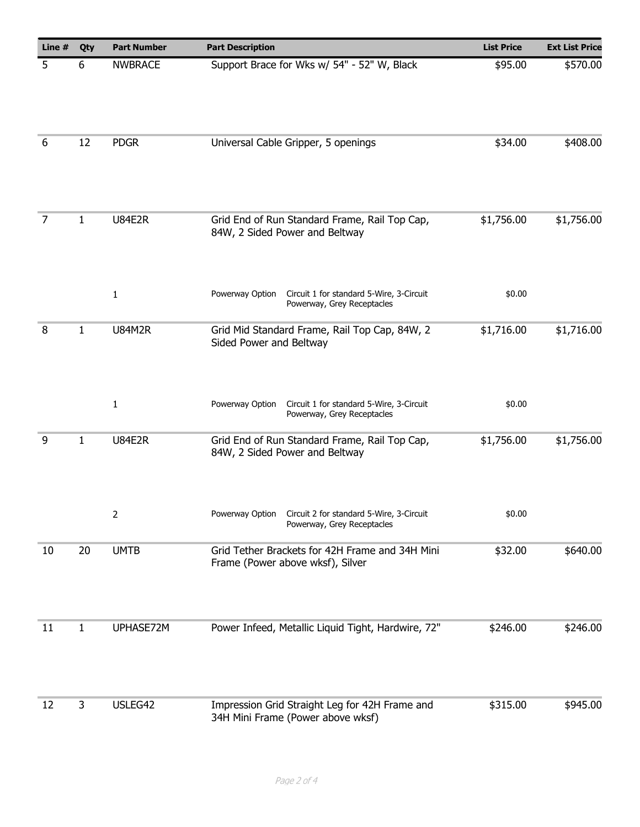| Line # | Qty          | <b>Part Number</b> | <b>Part Description</b>                                                                   | <b>List Price</b> | <b>Ext List Price</b> |
|--------|--------------|--------------------|-------------------------------------------------------------------------------------------|-------------------|-----------------------|
| 5      | 6            | <b>NWBRACE</b>     | Support Brace for Wks w/ 54" - 52" W, Black                                               | \$95.00           | \$570.00              |
| 6      | 12           | <b>PDGR</b>        | Universal Cable Gripper, 5 openings                                                       | \$34.00           | \$408.00              |
| 7      | 1            | <b>U84E2R</b>      | Grid End of Run Standard Frame, Rail Top Cap,<br>84W, 2 Sided Power and Beltway           | \$1,756.00        | \$1,756.00            |
|        |              | $\mathbf 1$        | Powerway Option<br>Circuit 1 for standard 5-Wire, 3-Circuit<br>Powerway, Grey Receptacles | \$0.00            |                       |
| 8      | $\mathbf{1}$ | <b>U84M2R</b>      | Grid Mid Standard Frame, Rail Top Cap, 84W, 2<br>Sided Power and Beltway                  | \$1,716.00        | \$1,716.00            |
|        |              | $\mathbf{1}$       | Circuit 1 for standard 5-Wire, 3-Circuit<br>Powerway Option<br>Powerway, Grey Receptacles | \$0.00            |                       |
| 9      | $\mathbf{1}$ | <b>U84E2R</b>      | Grid End of Run Standard Frame, Rail Top Cap,<br>84W, 2 Sided Power and Beltway           | \$1,756.00        | \$1,756.00            |
|        |              | 2                  | Powerway Option<br>Circuit 2 for standard 5-Wire, 3-Circuit<br>Powerway, Grey Receptacles | \$0.00            |                       |
| 10     | 20           | <b>UMTB</b>        | Grid Tether Brackets for 42H Frame and 34H Mini<br>Frame (Power above wksf), Silver       | \$32.00           | \$640.00              |
| 11     | 1            | UPHASE72M          | Power Infeed, Metallic Liquid Tight, Hardwire, 72"                                        | \$246.00          | \$246.00              |
|        |              |                    |                                                                                           |                   |                       |
| 12     | 3            | USLEG42            | Impression Grid Straight Leg for 42H Frame and<br>34H Mini Frame (Power above wksf)       | \$315.00          | \$945.00              |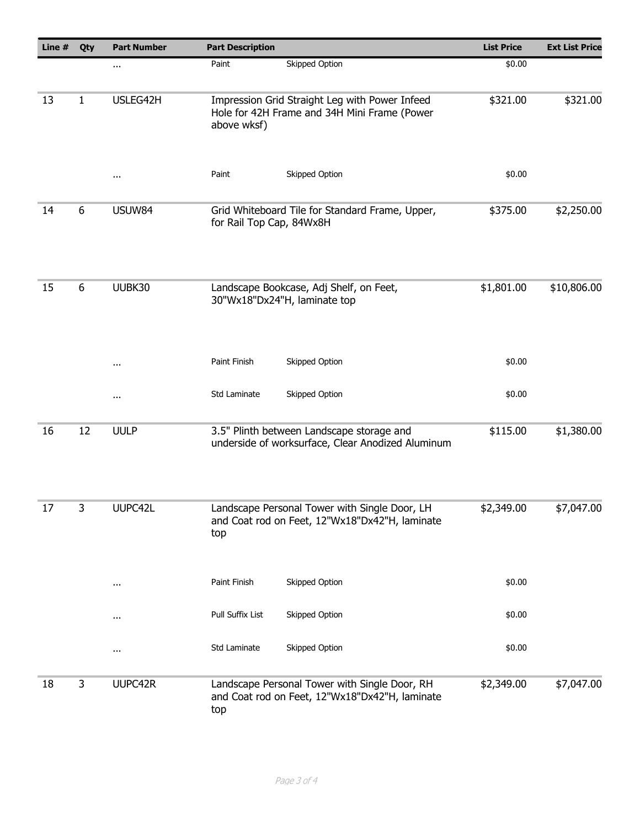| Line # | Qty | <b>Part Number</b> | <b>Part Description</b>                                                                                       | <b>List Price</b> | <b>Ext List Price</b> |
|--------|-----|--------------------|---------------------------------------------------------------------------------------------------------------|-------------------|-----------------------|
|        |     | $\cdots$           | <b>Skipped Option</b><br>Paint                                                                                | \$0.00            |                       |
| 13     | 1   | USLEG42H           | Impression Grid Straight Leg with Power Infeed<br>Hole for 42H Frame and 34H Mini Frame (Power<br>above wksf) | \$321.00          | \$321.00              |
|        |     | $\cdots$           | Paint<br>Skipped Option                                                                                       | \$0.00            |                       |
| 14     | 6   | USUW84             | Grid Whiteboard Tile for Standard Frame, Upper,<br>for Rail Top Cap, 84Wx8H                                   | \$375.00          | \$2,250.00            |
| 15     | 6   | UUBK30             | Landscape Bookcase, Adj Shelf, on Feet,<br>30"Wx18"Dx24"H, laminate top                                       | \$1,801.00        | \$10,806.00           |
|        |     | $\cdots$           | Paint Finish<br>Skipped Option                                                                                | \$0.00            |                       |
|        |     | $\cdots$           | Skipped Option<br>Std Laminate                                                                                | \$0.00            |                       |
| 16     | 12  | <b>UULP</b>        | 3.5" Plinth between Landscape storage and<br>underside of worksurface, Clear Anodized Aluminum                | \$115.00          | \$1,380.00            |
| 17     | 3   | UUPC42L            | Landscape Personal Tower with Single Door, LH<br>and Coat rod on Feet, 12"Wx18"Dx42"H, laminate<br>top        | \$2,349.00        | \$7,047.00            |
|        |     | $\cdots$           | Skipped Option<br>Paint Finish                                                                                | \$0.00            |                       |
|        |     | $\cdots$           | Pull Suffix List<br>Skipped Option                                                                            | \$0.00            |                       |
|        |     | $\cdots$           | Std Laminate<br>Skipped Option                                                                                | \$0.00            |                       |
| 18     | 3   | UUPC42R            | Landscape Personal Tower with Single Door, RH<br>and Coat rod on Feet, 12"Wx18"Dx42"H, laminate<br>top        | \$2,349.00        | \$7,047.00            |